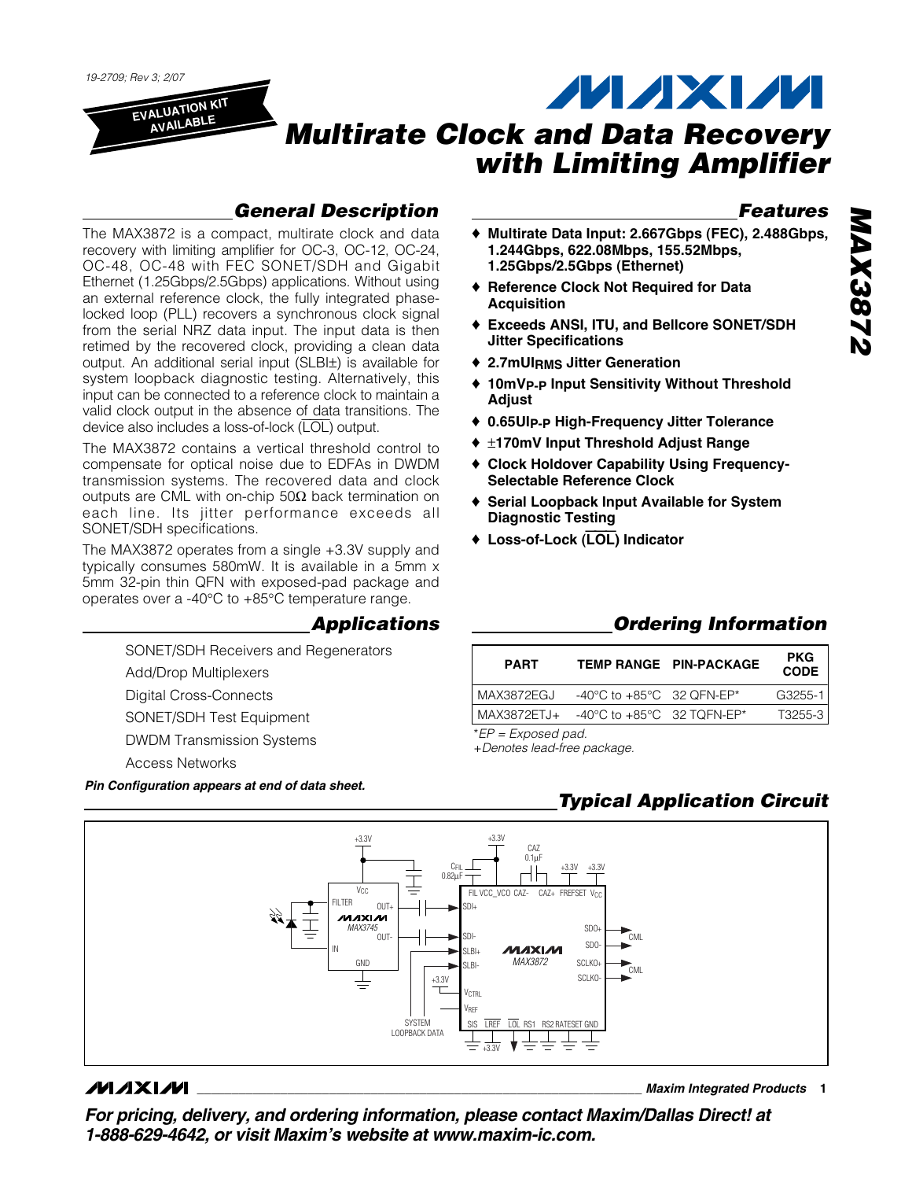19-2709; Rev 3; 2/07 **MAXM EVALUATION KIT AVAILABLE Multirate Clock and Data Recovery** 

## **General Description**

The MAX3872 is a compact, multirate clock and data recovery with limiting amplifier for OC-3, OC-12, OC-24, OC-48, OC-48 with FEC SONET/SDH and Gigabit Ethernet (1.25Gbps/2.5Gbps) applications. Without using an external reference clock, the fully integrated phaselocked loop (PLL) recovers a synchronous clock signal from the serial NRZ data input. The input data is then retimed by the recovered clock, providing a clean data output. An additional serial input (SLBI±) is available for system loopback diagnostic testing. Alternatively, this input can be connected to a reference clock to maintain a valid clock output in the absence of data transitions. The device also includes a loss-of-lock (LOL) output.

The MAX3872 contains a vertical threshold control to compensate for optical noise due to EDFAs in DWDM transmission systems. The recovered data and clock outputs are CML with on-chip 50Ω back termination on each line. Its jitter performance exceeds all SONET/SDH specifications.

The MAX3872 operates from a single +3.3V supply and typically consumes 580mW. It is available in a 5mm x 5mm 32-pin thin QFN with exposed-pad package and operates over a -40°C to +85°C temperature range.

#### **Applications**

SONET/SDH Receivers and Regenerators

Add/Drop Multiplexers

Digital Cross-Connects

SONET/SDH Test Equipment

DWDM Transmission Systems

Access Networks

**Pin Configuration appears at end of data sheet.**

## **Features**

♦ **Multirate Data Input: 2.667Gbps (FEC), 2.488Gbps, 1.244Gbps, 622.08Mbps, 155.52Mbps, 1.25Gbps/2.5Gbps (Ethernet)**

**with Limiting Amplifier**

- ♦ **Reference Clock Not Required for Data Acquisition**
- ♦ **Exceeds ANSI, ITU, and Bellcore SONET/SDH Jitter Specifications**
- ♦ **2.7mUIRMS Jitter Generation**
- ♦ **10mVP-P Input Sensitivity Without Threshold Adjust**
- ♦ **0.65UIP-P High-Frequency Jitter Tolerance**
- ♦ ±**170mV Input Threshold Adjust Range**
- ♦ **Clock Holdover Capability Using Frequency-Selectable Reference Clock**
- ♦ **Serial Loopback Input Available for System Diagnostic Testing**
- ♦ **Loss-of-Lock (**LOL) **Indicator**

## **Ordering Information**

| <b>PART</b>        |                                            | <b>TEMP RANGE PIN-PACKAGE</b> | <b>PKG</b><br><b>CODE</b> |  |  |  |  |  |  |
|--------------------|--------------------------------------------|-------------------------------|---------------------------|--|--|--|--|--|--|
| MAX3872EGJ         | -40°C to +85°C 32 QFN-EP*                  |                               | G3255-1                   |  |  |  |  |  |  |
|                    | $MAX3872ETJ+ -40°C$ to $+85°C$ 32 TQFN-EP* |                               | T3255-3                   |  |  |  |  |  |  |
| *EP = Exposed pad. |                                            |                               |                           |  |  |  |  |  |  |

+Denotes lead-free package.

## **Typical Application Circuit**



## MAXM

**\_\_\_\_\_\_\_\_\_\_\_\_\_\_\_\_\_\_\_\_\_\_\_\_\_\_\_\_\_\_\_\_\_\_\_\_\_\_\_\_\_\_\_\_\_\_\_\_\_\_\_\_\_\_\_\_\_\_\_\_\_\_\_\_ Maxim Integrated Products 1**

**For pricing, delivery, and ordering information, please contact Maxim/Dallas Direct! at 1-888-629-4642, or visit Maxim's website at www.maxim-ic.com.**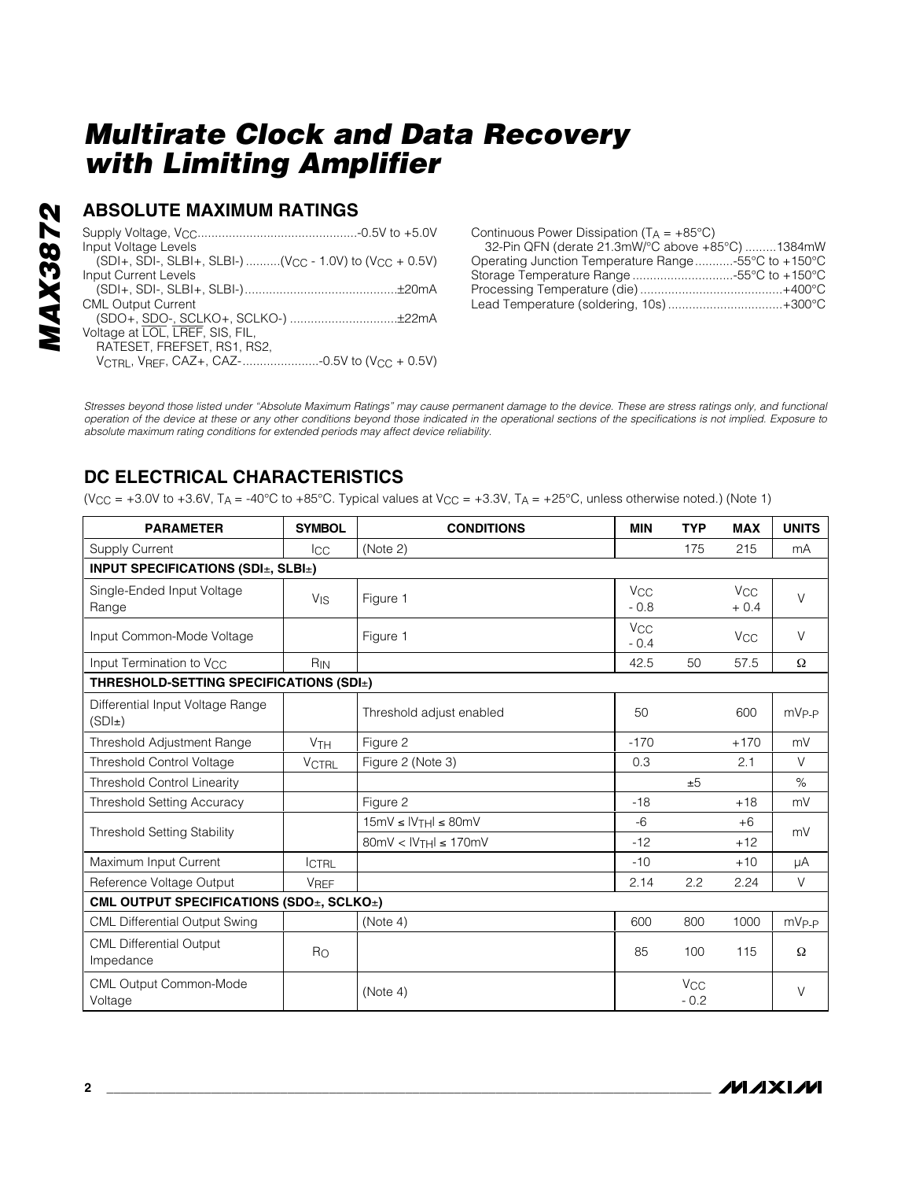## **ABSOLUTE MAXIMUM RATINGS**

**MAX3872**

**MAX3872** 

| Input Voltage Levels<br>$(SDI+, SDI-, SLBI+, SLBI-)$ ( $V_{CC}$ - 1.0V) to ( $V_{CC}$ + 0.5V) |  |
|-----------------------------------------------------------------------------------------------|--|
| <b>Input Current Levels</b>                                                                   |  |
|                                                                                               |  |
| <b>CML Output Current</b>                                                                     |  |
|                                                                                               |  |
| Voltage at LOL, LREF, SIS, FIL,                                                               |  |
| RATESET, FREFSET, RS1, RS2,                                                                   |  |
|                                                                                               |  |
|                                                                                               |  |

Continuous Power Dissipation  $(T_A = +85^{\circ}C)$ 

| 32-Pin QFN (derate 21.3mW/°C above +85°C) 1384mW   |  |
|----------------------------------------------------|--|
| Operating Junction Temperature Range55°C to +150°C |  |
|                                                    |  |
|                                                    |  |
| Lead Temperature (soldering, 10s) +300°C           |  |

Stresses beyond those listed under "Absolute Maximum Ratings" may cause permanent damage to the device. These are stress ratings only, and functional operation of the device at these or any other conditions beyond those indicated in the operational sections of the specifications is not implied. Exposure to absolute maximum rating conditions for extended periods may affect device reliability.

## **DC ELECTRICAL CHARACTERISTICS**

(V<sub>CC</sub> = +3.0V to +3.6V, T<sub>A</sub> = -40°C to +85°C. Typical values at V<sub>CC</sub> = +3.3V, T<sub>A</sub> = +25°C, unless otherwise noted.) (Note 1)

| <b>PARAMETER</b>                                           | <b>SYMBOL</b>   | <b>CONDITIONS</b>             | <b>MIN</b>                      | <b>TYP</b>                      | <b>MAX</b>                      | <b>UNITS</b>      |  |  |  |  |  |
|------------------------------------------------------------|-----------------|-------------------------------|---------------------------------|---------------------------------|---------------------------------|-------------------|--|--|--|--|--|
| <b>Supply Current</b>                                      | <b>I</b> cc     | (Note 2)                      |                                 | 175                             | 215                             | m <sub>A</sub>    |  |  |  |  |  |
| INPUT SPECIFICATIONS (SDI±, SLBI±)                         |                 |                               |                                 |                                 |                                 |                   |  |  |  |  |  |
| Single-Ended Input Voltage<br>Range                        | V <sub>IS</sub> | Figure 1                      | <b>V<sub>CC</sub></b><br>$-0.8$ |                                 | <b>V<sub>CC</sub></b><br>$+0.4$ | $\vee$            |  |  |  |  |  |
| Input Common-Mode Voltage                                  |                 | Figure 1                      | <b>V<sub>CC</sub></b><br>$-0.4$ |                                 | <b>V<sub>CC</sub></b>           | $\vee$            |  |  |  |  |  |
| Input Termination to V <sub>CC</sub>                       | R <sub>IN</sub> |                               | 42.5                            | 50                              | 57.5                            | Ω                 |  |  |  |  |  |
| THRESHOLD-SETTING SPECIFICATIONS (SDI±)                    |                 |                               |                                 |                                 |                                 |                   |  |  |  |  |  |
| Differential Input Voltage Range<br>$(SDI_{\pm})$          |                 | Threshold adjust enabled      | 50                              |                                 | 600                             | mV <sub>P-P</sub> |  |  |  |  |  |
| Threshold Adjustment Range                                 | V <sub>TH</sub> | Figure 2                      | $-170$                          |                                 | $+170$                          | mV                |  |  |  |  |  |
| <b>Threshold Control Voltage</b>                           | <b>VCTRL</b>    | Figure 2 (Note 3)             | 0.3                             |                                 | 2.1                             | $\vee$            |  |  |  |  |  |
| <b>Threshold Control Linearity</b>                         |                 |                               |                                 | ±5                              |                                 | $\%$              |  |  |  |  |  |
| <b>Threshold Setting Accuracy</b>                          |                 | Figure 2                      | $-18$                           |                                 | $+18$                           | mV                |  |  |  |  |  |
| <b>Threshold Setting Stability</b>                         |                 | $15mV \leq  VTH  \leq 80mV$   | $-6$                            |                                 | $+6$                            | mV                |  |  |  |  |  |
|                                                            |                 | $80mV < IV$ TH $l \leq 170mV$ | $-12$                           |                                 | $+12$                           |                   |  |  |  |  |  |
| Maximum Input Current                                      | <b>ICTRL</b>    |                               | $-10$                           |                                 | $+10$                           | μA                |  |  |  |  |  |
| Reference Voltage Output                                   | VREF            |                               | 2.14                            | 2.2                             | 2.24                            | $\vee$            |  |  |  |  |  |
| CML OUTPUT SPECIFICATIONS (SDO $\pm$ , SCLKO $\pm$ )       |                 |                               |                                 |                                 |                                 |                   |  |  |  |  |  |
| <b>CML Differential Output Swing</b>                       |                 | (Note 4)                      | 600                             | 800                             | 1000                            | $mV_{P-P}$        |  |  |  |  |  |
| <b>CML Differential Output</b><br>$R_{\rm O}$<br>Impedance |                 |                               | 85                              | 100                             | 115                             | Ω                 |  |  |  |  |  |
| CML Output Common-Mode<br>Voltage                          |                 | (Note 4)                      |                                 | <b>V<sub>CC</sub></b><br>$-0.2$ |                                 | $\vee$            |  |  |  |  |  |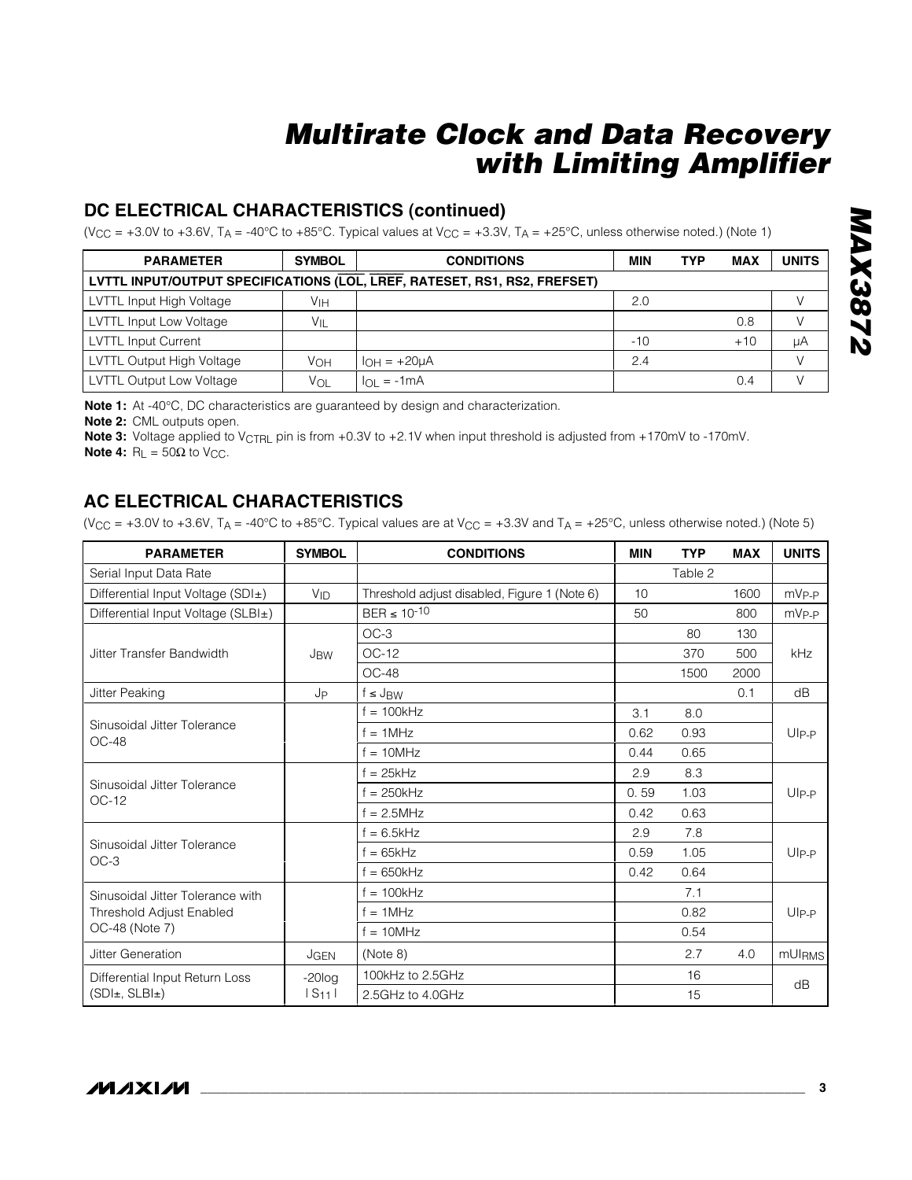## **DC ELECTRICAL CHARACTERISTICS (continued)**

(V<sub>CC</sub> = +3.0V to +3.6V, T<sub>A</sub> = -40°C to +85°C. Typical values at V<sub>CC</sub> = +3.3V, T<sub>A</sub> = +25°C, unless otherwise noted.) (Note 1)

| <b>PARAMETER</b>                                                          | <b>SYMBOL</b> | <b>CONDITIONS</b>     | MIN   | <b>TYP</b> | <b>MAX</b> | <b>UNITS</b> |  |  |  |  |  |  |
|---------------------------------------------------------------------------|---------------|-----------------------|-------|------------|------------|--------------|--|--|--|--|--|--|
| LVTTL INPUT/OUTPUT SPECIFICATIONS (LOL, LREF, RATESET, RS1, RS2, FREFSET) |               |                       |       |            |            |              |  |  |  |  |  |  |
| LVTTL Input High Voltage                                                  | Vін           |                       | 2.0   |            |            |              |  |  |  |  |  |  |
| <b>LVTTL Input Low Voltage</b>                                            | V⊫            |                       |       |            | 0.8        |              |  |  |  |  |  |  |
| <b>LVTTL Input Current</b>                                                |               |                       | $-10$ |            | $+10$      | μA           |  |  |  |  |  |  |
| LVTTL Output High Voltage                                                 | Vон           | $I_{OH} = +20\mu A$   | 2.4   |            |            |              |  |  |  |  |  |  |
| <b>LVTTL Output Low Voltage</b>                                           | Vol           | $I_{\Omega I}$ = -1mA |       |            | 0.4        |              |  |  |  |  |  |  |

**Note 1:** At -40°C, DC characteristics are guaranteed by design and characterization.

**Note 2:** CML outputs open.

**Note 3:** Voltage applied to V<sub>CTRL</sub> pin is from +0.3V to +2.1V when input threshold is adjusted from +170mV to -170mV.

**Note 4:**  $R_L = 50\Omega$  to V<sub>CC</sub>.

## **AC ELECTRICAL CHARACTERISTICS**

(V<sub>CC</sub> = +3.0V to +3.6V, T<sub>A</sub> = -40°C to +85°C. Typical values are at V<sub>CC</sub> = +3.3V and T<sub>A</sub> = +25°C, unless otherwise noted.) (Note 5)

| <b>PARAMETER</b>                            | <b>SYMBOL</b>   | <b>CONDITIONS</b>                            | <b>MIN</b> | <b>TYP</b> | <b>MAX</b> | <b>UNITS</b>      |
|---------------------------------------------|-----------------|----------------------------------------------|------------|------------|------------|-------------------|
| Serial Input Data Rate                      |                 |                                              |            | Table 2    |            |                   |
| Differential Input Voltage (SDI±)           | VID             | Threshold adjust disabled, Figure 1 (Note 6) | 10         |            | 1600       | mV <sub>P-P</sub> |
| Differential Input Voltage (SLBI±)          |                 | BER ≤ 10 <sup>-10</sup>                      | 50         |            | 800        | $mV_{P-P}$        |
|                                             |                 | $OC-3$                                       |            | 80         | 130        |                   |
| Jitter Transfer Bandwidth                   | J <sub>BW</sub> | OC-12                                        |            | 370        | 500        | kHz               |
|                                             |                 | <b>OC-48</b>                                 |            | 1500       | 2000       |                   |
| Jitter Peaking                              | JP              | $f \leq JBW$                                 |            |            | 0.1        | dB                |
|                                             |                 | $f = 100kHz$                                 | 3.1        | 8.0        |            |                   |
| Sinusoidal Jitter Tolerance<br><b>OC-48</b> |                 | $f = 1MHz$                                   | 0.62       | 0.93       |            | $UIP-P$           |
|                                             |                 | $f = 10MHz$                                  | 0.44       | 0.65       |            |                   |
|                                             |                 | $f = 25kHz$                                  | 2.9        | 8.3        |            |                   |
| Sinusoidal Jitter Tolerance<br>OC-12        |                 | $f = 250kHz$                                 | 0.59       | 1.03       |            | $UIP-P$           |
|                                             |                 | $f = 2.5$ MHz                                | 0.42       | 0.63       |            |                   |
|                                             |                 | $f = 6.5kHz$                                 | 2.9        | 7.8        |            |                   |
| Sinusoidal Jitter Tolerance<br>$OC-3$       |                 | $f = 65kHz$                                  | 0.59       | 1.05       |            | $UIP-P$           |
|                                             |                 | $f = 650kHz$                                 | 0.42       | 0.64       |            |                   |
| Sinusoidal Jitter Tolerance with            |                 | $f = 100kHz$                                 |            | 7.1        |            |                   |
| Threshold Adjust Enabled                    |                 | $f = 1$ MHz                                  |            | 0.82       |            | $U_{P-P}$         |
| OC-48 (Note 7)                              |                 | $f = 10MHz$                                  |            | 0.54       |            |                   |
| Jitter Generation                           | JGEN            | (Note 8)                                     |            | 2.7        | 4.0        | mUIRMS            |
| Differential Input Return Loss              | $-20$ log       | 100kHz to 2.5GHz                             |            | 16         |            | dB                |
| $(SDI_{\pm}, SLB_{\pm})$                    | $ S_{11} $      | 2.5GHz to 4.0GHz                             |            | 15         |            |                   |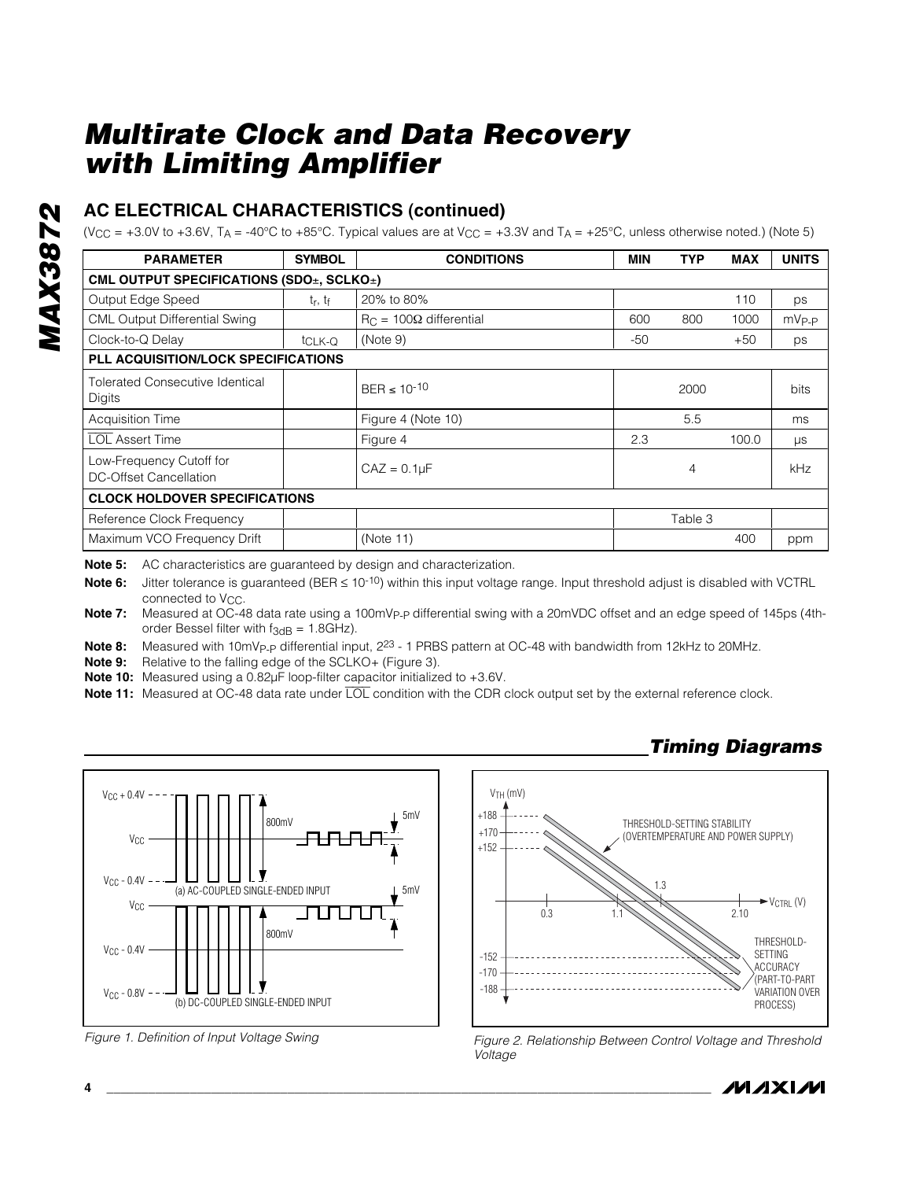# **AC ELECTRICAL CHARACTERISTICS (continued)**

(V<sub>CC</sub> = +3.0V to +3.6V, T<sub>A</sub> = -40°C to +85°C. Typical values are at V<sub>CC</sub> = +3.3V and T<sub>A</sub> = +25°C, unless otherwise noted.) (Note 5)

| <b>PARAMETER</b>                                          | <b>SYMBOL</b>                      | MIN                            | <b>TYP</b> | MAX  | <b>UNITS</b> |             |  |  |  |  |  |  |
|-----------------------------------------------------------|------------------------------------|--------------------------------|------------|------|--------------|-------------|--|--|--|--|--|--|
| CML OUTPUT SPECIFICATIONS (SDO±, SCLKO±)                  |                                    |                                |            |      |              |             |  |  |  |  |  |  |
| Output Edge Speed                                         | $t_r$ , $t_f$                      | 20% to 80%<br>110              |            |      |              |             |  |  |  |  |  |  |
| <b>CML Output Differential Swing</b>                      |                                    | $R_C = 100\Omega$ differential | 600        | 800  | 1000         | $mV_{P-P}$  |  |  |  |  |  |  |
| Clock-to-Q Delay                                          | (Note 9)<br>-50<br>$+50$<br>tCLK-Q |                                |            |      |              |             |  |  |  |  |  |  |
| <b>PLL ACQUISITION/LOCK SPECIFICATIONS</b>                |                                    |                                |            |      |              |             |  |  |  |  |  |  |
| <b>Tolerated Consecutive Identical</b><br>Digits          |                                    | BER $\leq 10^{-10}$            |            | 2000 |              | <b>bits</b> |  |  |  |  |  |  |
| Acquisition Time                                          |                                    | Figure 4 (Note 10)             |            | 5.5  |              | ms          |  |  |  |  |  |  |
| <b>LOL Assert Time</b>                                    |                                    | Figure 4                       | 2.3        |      | 100.0        | $\mu s$     |  |  |  |  |  |  |
| Low-Frequency Cutoff for<br><b>DC-Offset Cancellation</b> |                                    | $CAZ = 0.1\mu F$               |            | 4    |              | kHz         |  |  |  |  |  |  |
| <b>CLOCK HOLDOVER SPECIFICATIONS</b>                      |                                    |                                |            |      |              |             |  |  |  |  |  |  |
| Reference Clock Frequency                                 | Table 3                            |                                |            |      |              |             |  |  |  |  |  |  |
| Maximum VCO Frequency Drift                               |                                    | 400<br>(Note 11)               |            |      |              |             |  |  |  |  |  |  |

**Note 5:** AC characteristics are guaranteed by design and characterization.

**Note 6:** Jitter tolerance is guaranteed (BER ≤ 10-10) within this input voltage range. Input threshold adjust is disabled with VCTRL connected to V<sub>CC</sub>.

**Note 7:** Measured at OC-48 data rate using a 100mVP-P differential swing with a 20mVDC offset and an edge speed of 145ps (4thorder Bessel filter with  $f_{3dB} = 1.8$ GHz).

- Note 8: Measured with 10mV<sub>P-P</sub> differential input, 2<sup>23</sup> 1 PRBS pattern at OC-48 with bandwidth from 12kHz to 20MHz.
- **Note 9:** Relative to the falling edge of the SCLKO+ (Figure 3).

**Note 10:** Measured using a 0.82µF loop-filter capacitor initialized to +3.6V.

**Note 11:** Measured at OC-48 data rate under LOL condition with the CDR clock output set by the external reference clock.



Figure 1. Definition of Input Voltage Swing

#### 1.3 2.10 THRESHOLD-SETTING **ACCURACY** (PART-TO-PART VARIATION OVER  $\blacktriangleright$  V<sub>CTRL</sub> (V)  $V<sub>TH</sub>$  (mV) +188 +170 +152 -152 -170 -188 THRESHOLD-SETTING STABILITY (OVERTEMPERATURE AND POWER SUPPLY)  $0.3$

Figure 2. Relationship Between Control Voltage and Threshold Voltage



PROCESS)

# **Timing Diagrams**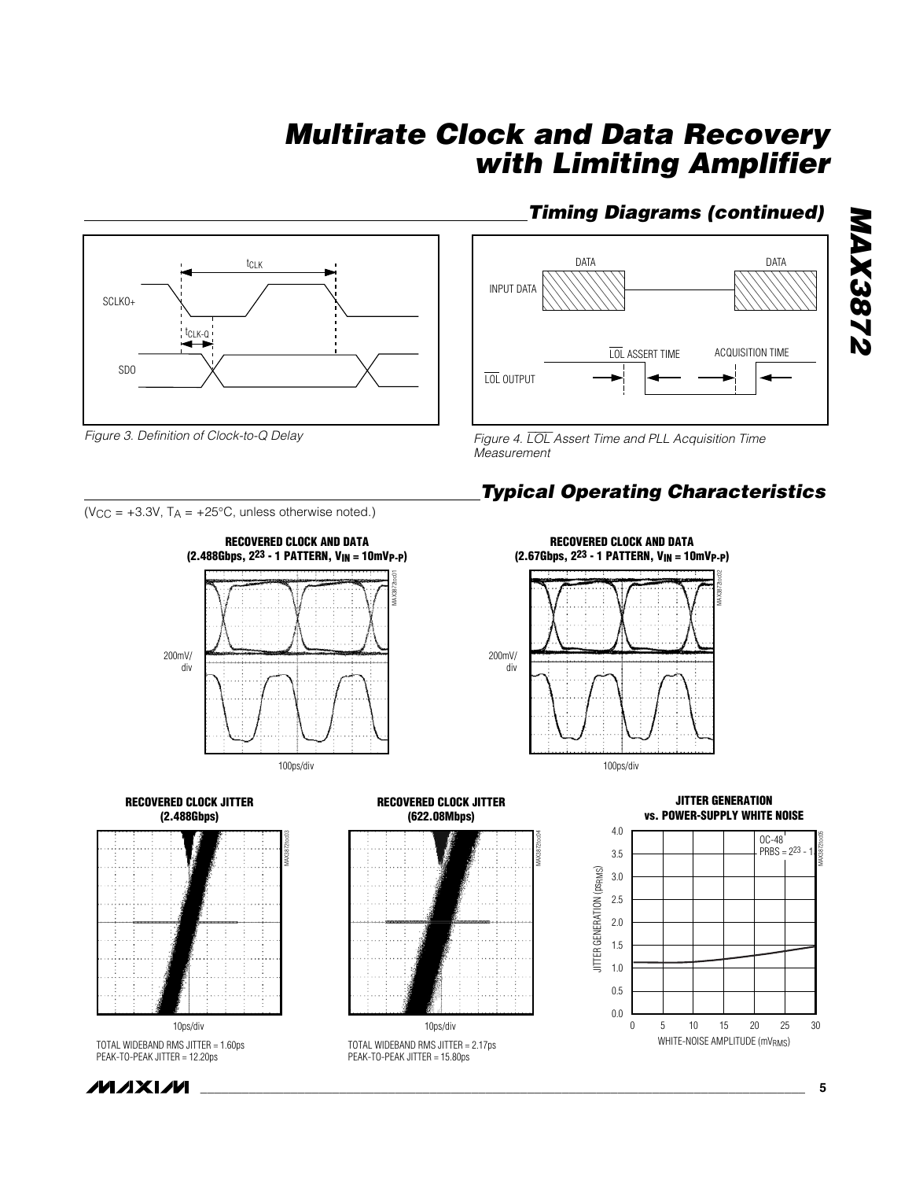

Figure 3. Definition of Clock-to-Q Delay

 $(V_{\text{CC}} = +3.3V, T_A = +25^{\circ}\text{C}$ , unless otherwise noted.)



**RECOVERED CLOCK JITTER (2.488Gbps)**



TOTAL WIDEBAND RMS JITTER = 1.60ps PEAK-TO-PEAK JITTER = 12.20ps

**MAXIM** 

# **Timing Diagrams (continued)**



Figure 4. LOL Assert Time and PLL Acquisition Time **Measurement** 

# **Typical Operating Characteristics**



**JITTER GENERATION vs. POWER-SUPPLY WHITE NOISE** 4.0 MAX3872toc05 OC-48  $PRBS = 2^{23} -$ 3.5 JITTER GENERATION (psRMS) JITTER GENERATION (DSRMS) 3.0 2.5 2.0 1.5 1.0 0.5 0.0 0 10 5 15 20 25 30 WHITE-NOISE AMPLITUDE (mVRMS)



**RECOVERED CLOCK JITTER (622.08Mbps)**

10ps/div TOTAL WIDEBAND RMS JITTER = 2.17ps PEAK-TO-PEAK JITTER = 15.80ps



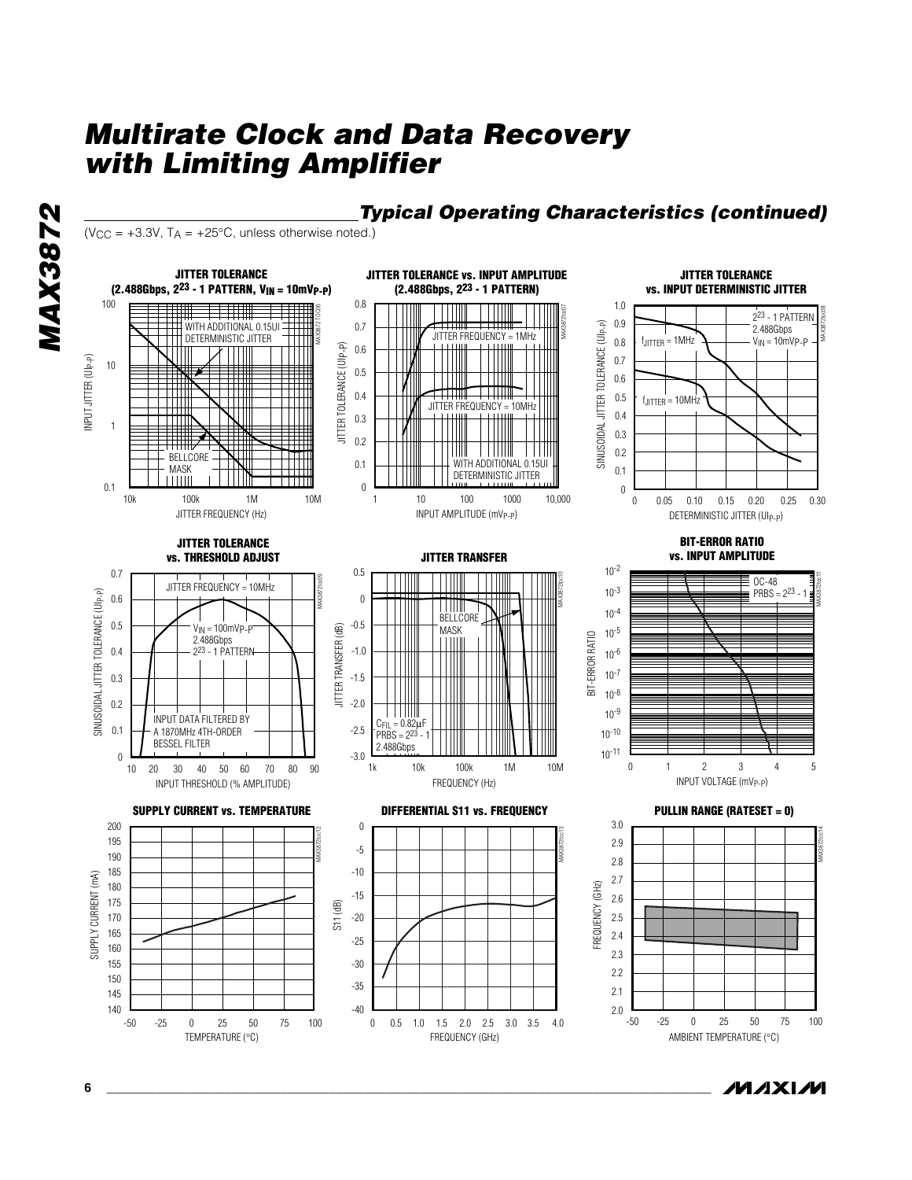

*IVI A* XI*IV*I **6 \_\_\_\_\_\_\_\_\_\_\_\_\_\_\_\_\_\_\_\_\_\_\_\_\_\_\_\_\_\_\_\_\_\_\_\_\_\_\_\_\_\_\_\_\_\_\_\_\_\_\_\_\_\_\_\_\_\_\_\_\_\_\_\_\_\_\_\_\_\_\_\_\_\_\_\_\_\_\_\_\_\_\_\_\_\_\_**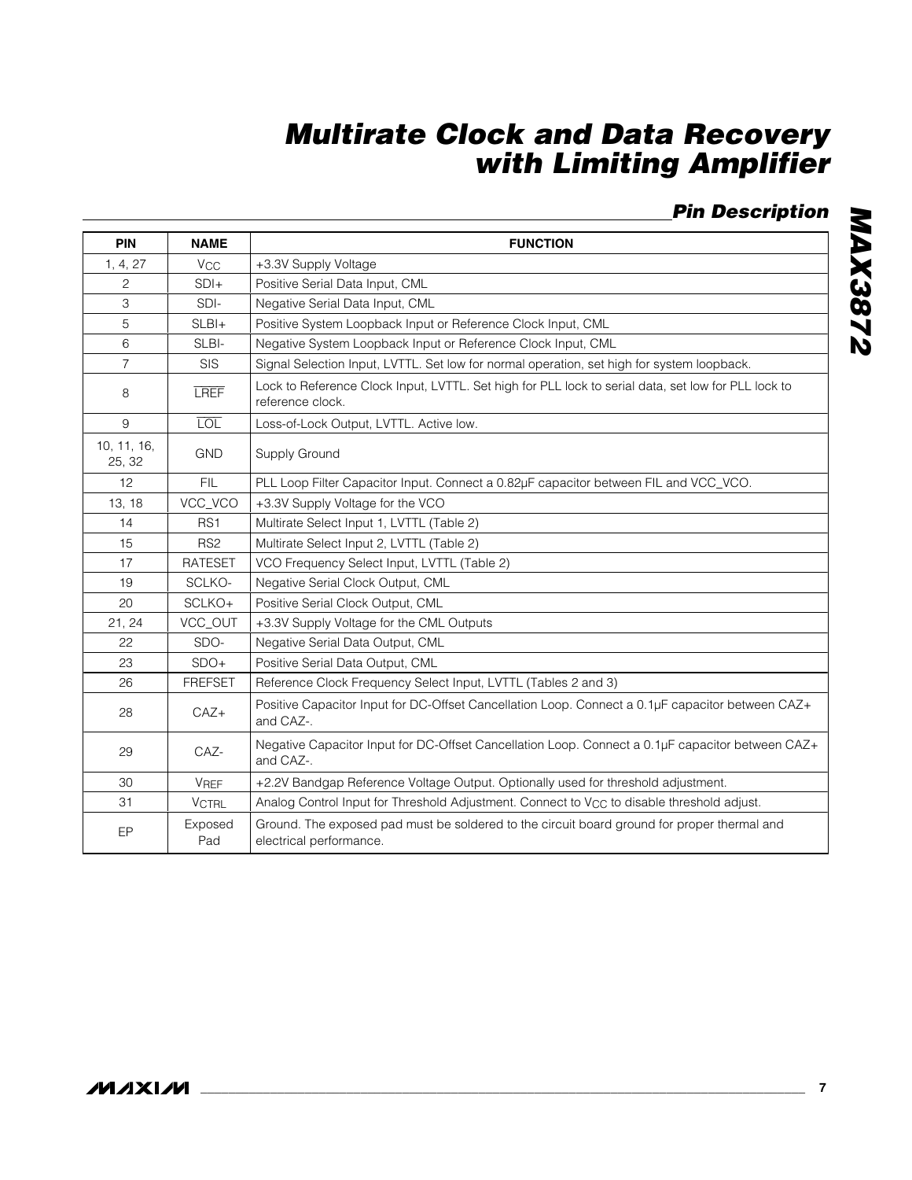# **Pin Description**

| <b>PIN</b>            | <b>NAME</b>           | <b>FUNCTION</b>                                                                                                         |
|-----------------------|-----------------------|-------------------------------------------------------------------------------------------------------------------------|
| 1, 4, 27              | <b>V<sub>CC</sub></b> | +3.3V Supply Voltage                                                                                                    |
| 2                     | $SDI+$                | Positive Serial Data Input, CML                                                                                         |
| 3                     | SDI-                  | Negative Serial Data Input, CML                                                                                         |
| 5                     | SLBI+                 | Positive System Loopback Input or Reference Clock Input, CML                                                            |
| 6                     | SLBI-                 | Negative System Loopback Input or Reference Clock Input, CML                                                            |
| $\overline{7}$        | <b>SIS</b>            | Signal Selection Input, LVTTL. Set low for normal operation, set high for system loopback.                              |
| 8                     | <b>LREF</b>           | Lock to Reference Clock Input, LVTTL. Set high for PLL lock to serial data, set low for PLL lock to<br>reference clock. |
| 9                     | <b>LOL</b>            | Loss-of-Lock Output, LVTTL. Active low.                                                                                 |
| 10, 11, 16,<br>25, 32 | <b>GND</b>            | Supply Ground                                                                                                           |
| 12                    | <b>FIL</b>            | PLL Loop Filter Capacitor Input. Connect a 0.82µF capacitor between FIL and VCC_VCO.                                    |
| 13, 18                | VCC_VCO               | +3.3V Supply Voltage for the VCO                                                                                        |
| 14                    | RS <sub>1</sub>       | Multirate Select Input 1, LVTTL (Table 2)                                                                               |
| 15                    | RS <sub>2</sub>       | Multirate Select Input 2, LVTTL (Table 2)                                                                               |
| 17                    | <b>RATESET</b>        | VCO Frequency Select Input, LVTTL (Table 2)                                                                             |
| 19                    | SCLKO-                | Negative Serial Clock Output, CML                                                                                       |
| 20                    | SCLKO+                | Positive Serial Clock Output, CML                                                                                       |
| 21, 24                | VCC_OUT               | +3.3V Supply Voltage for the CML Outputs                                                                                |
| 22                    | SDO-                  | Negative Serial Data Output, CML                                                                                        |
| 23                    | $SDO+$                | Positive Serial Data Output, CML                                                                                        |
| 26                    | <b>FREFSET</b>        | Reference Clock Frequency Select Input, LVTTL (Tables 2 and 3)                                                          |
| 28                    | $CAZ+$                | Positive Capacitor Input for DC-Offset Cancellation Loop. Connect a 0.1µF capacitor between CAZ+<br>and CAZ-.           |
| 29                    | CAZ-                  | Negative Capacitor Input for DC-Offset Cancellation Loop. Connect a 0.1µF capacitor between CAZ+<br>and CAZ-.           |
| 30                    | <b>VREF</b>           | +2.2V Bandgap Reference Voltage Output. Optionally used for threshold adjustment.                                       |
| 31                    | <b>VCTRL</b>          | Analog Control Input for Threshold Adjustment. Connect to V <sub>CC</sub> to disable threshold adjust.                  |
| EP                    | Exposed<br>Pad        | Ground. The exposed pad must be soldered to the circuit board ground for proper thermal and<br>electrical performance.  |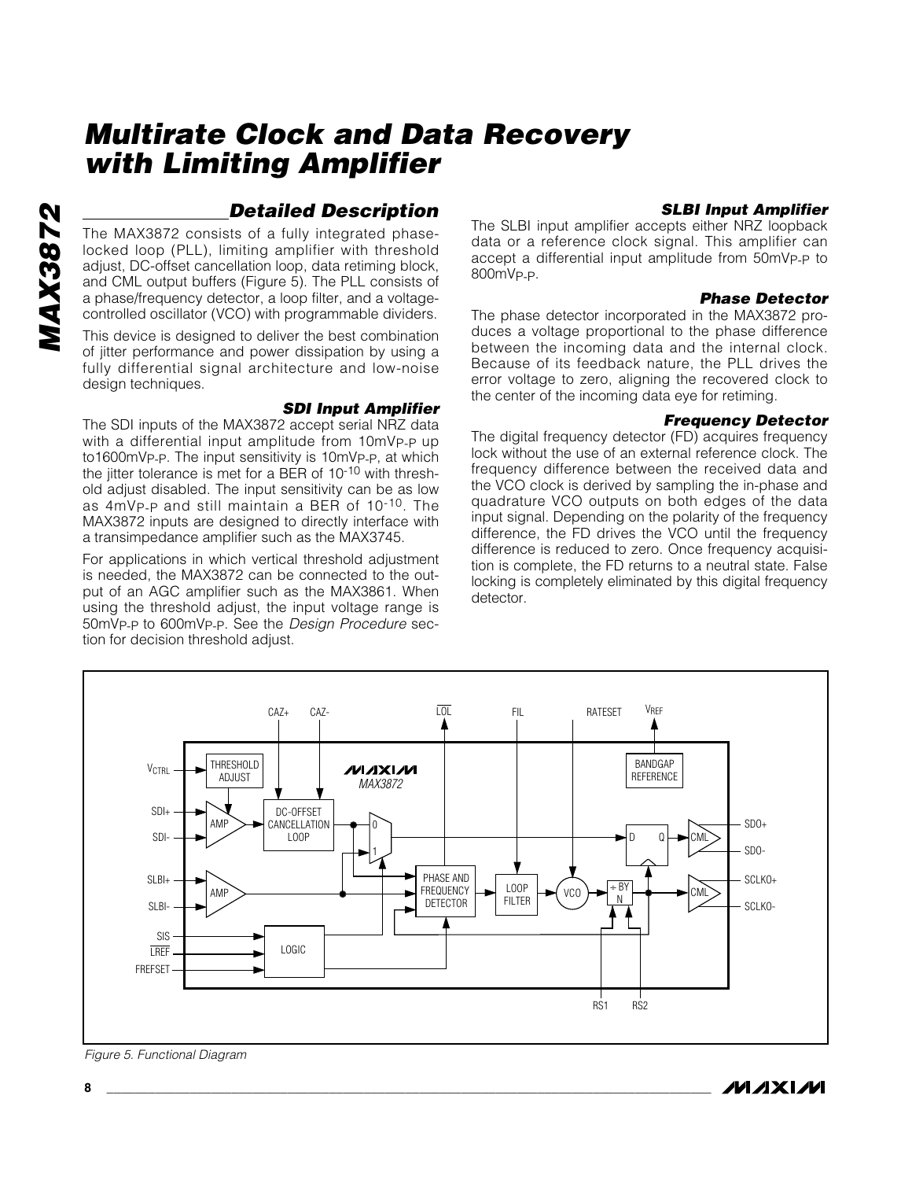## **Detailed Description**

The MAX3872 consists of a fully integrated phaselocked loop (PLL), limiting amplifier with threshold adjust, DC-offset cancellation loop, data retiming block, and CML output buffers (Figure 5). The PLL consists of a phase/frequency detector, a loop filter, and a voltagecontrolled oscillator (VCO) with programmable dividers.

This device is designed to deliver the best combination of jitter performance and power dissipation by using a fully differential signal architecture and low-noise design techniques.

#### **SDI Input Amplifier**

The SDI inputs of the MAX3872 accept serial NRZ data with a differential input amplitude from 10mVp-p up to1600mV<sub>P-P</sub>. The input sensitivity is 10mV<sub>P-P</sub>, at which the jitter tolerance is met for a BER of 10-10 with threshold adjust disabled. The input sensitivity can be as low as 4mVP-P and still maintain a BER of 10-10. The MAX3872 inputs are designed to directly interface with a transimpedance amplifier such as the MAX3745.

For applications in which vertical threshold adjustment is needed, the MAX3872 can be connected to the output of an AGC amplifier such as the MAX3861. When using the threshold adjust, the input voltage range is 50mVP-P to 600mVP-P. See the Design Procedure section for decision threshold adjust.

#### **SLBI Input Amplifier**

The SLBI input amplifier accepts either NRZ loopback data or a reference clock signal. This amplifier can accept a differential input amplitude from 50mVP-P to 800mVP-P.

#### **Phase Detector**

The phase detector incorporated in the MAX3872 produces a voltage proportional to the phase difference between the incoming data and the internal clock. Because of its feedback nature, the PLL drives the error voltage to zero, aligning the recovered clock to the center of the incoming data eye for retiming.

#### **Frequency Detector**

The digital frequency detector (FD) acquires frequency lock without the use of an external reference clock. The frequency difference between the received data and the VCO clock is derived by sampling the in-phase and quadrature VCO outputs on both edges of the data input signal. Depending on the polarity of the frequency difference, the FD drives the VCO until the frequency difference is reduced to zero. Once frequency acquisition is complete, the FD returns to a neutral state. False locking is completely eliminated by this digital frequency detector.



Figure 5. Functional Diagram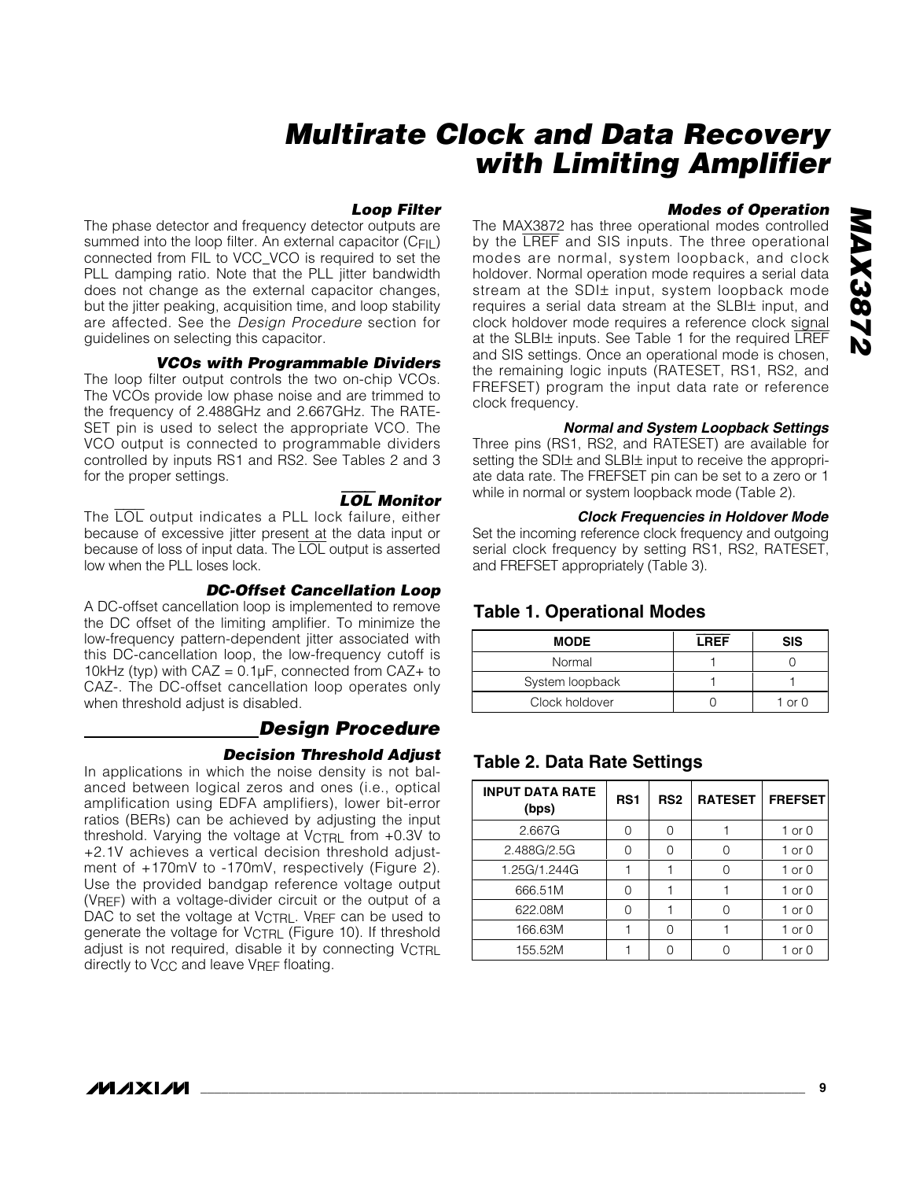# **MAX3872 ZZ8EXVM**

# **Multirate Clock and Data Recovery with Limiting Amplifier**

#### **Loop Filter**

The phase detector and frequency detector outputs are summed into the loop filter. An external capacitor (CFIL) connected from FIL to VCC\_VCO is required to set the PLL damping ratio. Note that the PLL jitter bandwidth does not change as the external capacitor changes, but the jitter peaking, acquisition time, and loop stability are affected. See the Design Procedure section for guidelines on selecting this capacitor.

**VCOs with Programmable Dividers**

The loop filter output controls the two on-chip VCOs. The VCOs provide low phase noise and are trimmed to the frequency of 2.488GHz and 2.667GHz. The RATE-SET pin is used to select the appropriate VCO. The VCO output is connected to programmable dividers controlled by inputs RS1 and RS2. See Tables 2 and 3 for the proper settings.

LOL **Monitor** The LOL output indicates a PLL lock failure, either because of excessive jitter present at the data input or because of loss of input data. The LOL output is asserted low when the PLL loses lock.

#### **DC-Offset Cancellation Loop**

A DC-offset cancellation loop is implemented to remove the DC offset of the limiting amplifier. To minimize the low-frequency pattern-dependent jitter associated with this DC-cancellation loop, the low-frequency cutoff is 10kHz (typ) with  $CAZ = 0.1\mu$ F, connected from  $CAZ +$  to CAZ-. The DC-offset cancellation loop operates only when threshold adjust is disabled.

#### **Design Procedure**

#### **Decision Threshold Adjust**

In applications in which the noise density is not balanced between logical zeros and ones (i.e., optical amplification using EDFA amplifiers), lower bit-error ratios (BERs) can be achieved by adjusting the input threshold. Varying the voltage at VCTRL from +0.3V to +2.1V achieves a vertical decision threshold adjustment of +170mV to -170mV, respectively (Figure 2). Use the provided bandgap reference voltage output (VREF) with a voltage-divider circuit or the output of a DAC to set the voltage at VCTRL. VREF can be used to generate the voltage for VCTRL (Figure 10). If threshold adjust is not required, disable it by connecting VCTRL directly to  $V_{CC}$  and leave  $V_{REF}$  floating.

#### **Modes of Operation**

The MAX3872 has three operational modes controlled by the LREF and SIS inputs. The three operational modes are normal, system loopback, and clock holdover. Normal operation mode requires a serial data stream at the SDI± input, system loopback mode requires a serial data stream at the SLBI± input, and clock holdover mode requires a reference clock signal at the SLBI± inputs. See Table 1 for the required LREF and SIS settings. Once an operational mode is chosen, the remaining logic inputs (RATESET, RS1, RS2, and FREFSET) program the input data rate or reference clock frequency.

#### **Normal and System Loopback Settings**

Three pins (RS1, RS2, and RATESET) are available for setting the SDI± and SLBI± input to receive the appropriate data rate. The FREFSET pin can be set to a zero or 1 while in normal or system loopback mode (Table 2).

#### **Clock Frequencies in Holdover Mode**

Set the incoming reference clock frequency and outgoing serial clock frequency by setting RS1, RS2, RATESET, and FREFSET appropriately (Table 3).

## **Table 1. Operational Modes**

| <b>MODE</b>     | <b>LREF</b> | <b>SIS</b>      |
|-----------------|-------------|-----------------|
| Normal          |             |                 |
| System loopback |             |                 |
| Clock holdover  |             | $\cap$ r $\cap$ |

## **Table 2. Data Rate Settings**

| <b>INPUT DATA RATE</b><br>(bps) | RS <sub>1</sub> | RS <sub>2</sub> | <b>RATESET</b> | <b>FREFSET</b> |
|---------------------------------|-----------------|-----------------|----------------|----------------|
| 2.667G                          | ∩               |                 |                | $1$ or $0$     |
| 2.488G/2.5G                     | ∩               | ∩               |                | $1$ or $0$     |
| 1.25G/1.244G                    |                 |                 |                | $1$ or $0$     |
| 666.51M                         | ∩               |                 |                | $1$ or $0$     |
| 622.08M                         |                 |                 |                | $1$ or $0$     |
| 166.63M                         |                 |                 |                | $1$ or $0$     |
| 155.52M                         |                 |                 |                | 1 or $0$       |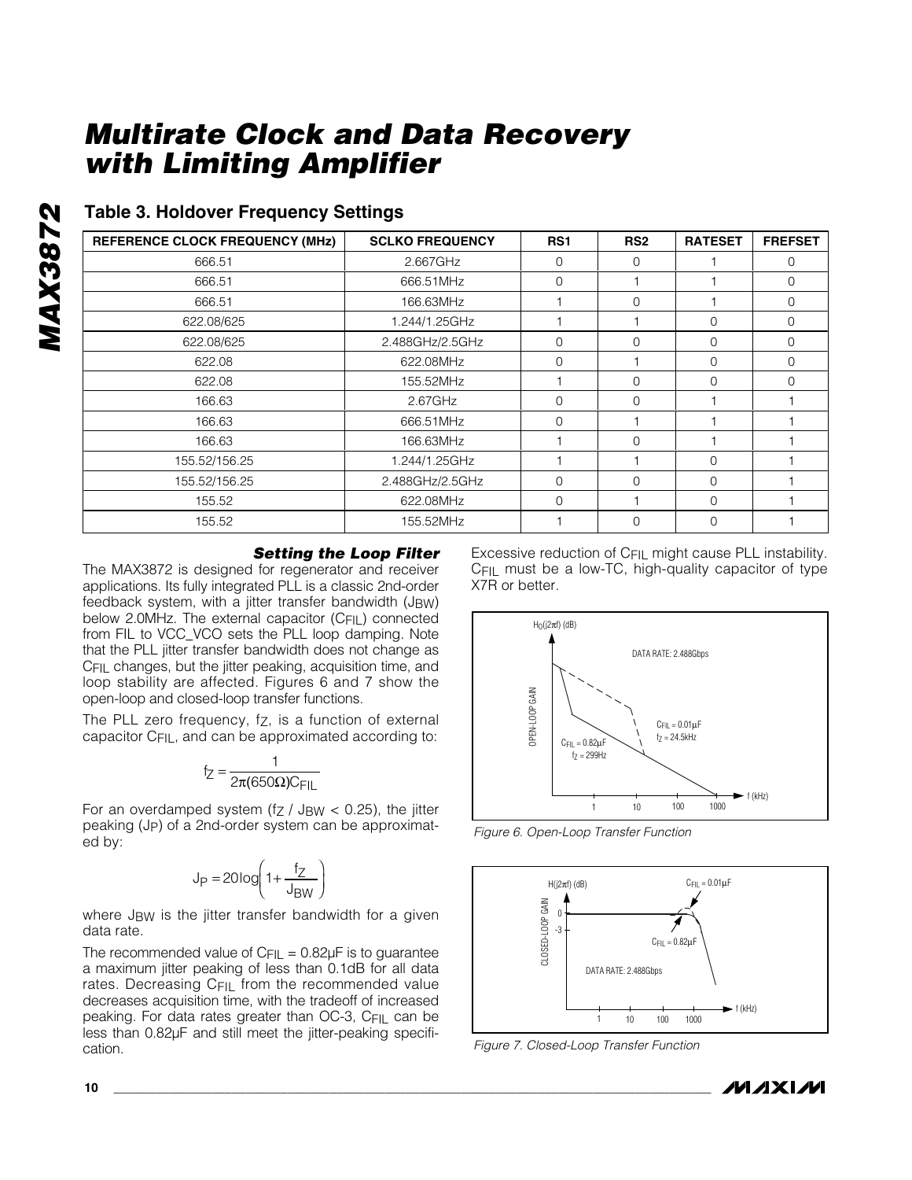## **Table 3. Holdover Frequency Settings**

| REFERENCE CLOCK FREQUENCY (MHz) | <b>SCLKO FREQUENCY</b> | RS <sub>1</sub> | RS <sub>2</sub> | <b>RATESET</b> | <b>FREFSET</b> |
|---------------------------------|------------------------|-----------------|-----------------|----------------|----------------|
| 666.51                          | 2.667GHz               | 0               | $\Omega$        |                | $\Omega$       |
| 666.51                          | 666.51MHz              | 0               |                 |                | $\Omega$       |
| 666.51                          | 166.63MHz              |                 | $\Omega$        |                | $\Omega$       |
| 622.08/625                      | 1.244/1.25GHz          |                 |                 | $\Omega$       | $\cap$         |
| 622.08/625                      | 2.488GHz/2.5GHz        | 0               | $\Omega$        | $\Omega$       | $\Omega$       |
| 622.08                          | 622.08MHz              | $\Omega$        |                 | $\Omega$       | $\cap$         |
| 622.08                          | 155.52MHz              |                 | $\Omega$        | $\Omega$       |                |
| 166.63                          | $2.67$ GHz             | $\Omega$        | $\Omega$        |                |                |
| 166.63                          | 666.51MHz              | 0               |                 |                |                |
| 166.63                          | 166.63MHz              |                 | $\Omega$        |                |                |
| 155.52/156.25                   | 1.244/1.25GHz          |                 |                 | 0              |                |
| 155.52/156.25                   | 2.488GHz/2.5GHz        | $\Omega$        | $\Omega$        | $\Omega$       |                |
| 155.52                          | 622.08MHz              | 0               |                 | $\Omega$       |                |
| 155.52                          | 155.52MHz              |                 | 0               | 0              |                |

#### **Setting the Loop Filter**

The MAX3872 is designed for regenerator and receiver applications. Its fully integrated PLL is a classic 2nd-order feedback system, with a jitter transfer bandwidth (J<sub>BW</sub>) below 2.0MHz. The external capacitor (CFIL) connected from FIL to VCC\_VCO sets the PLL loop damping. Note that the PLL jitter transfer bandwidth does not change as CFIL changes, but the jitter peaking, acquisition time, and loop stability are affected. Figures 6 and 7 show the open-loop and closed-loop transfer functions.

The PLL zero frequency, fz, is a function of external capacitor C<sub>FIL</sub>, and can be approximated according to:

$$
f_Z = \frac{1}{2\pi (650\Omega)C_{\text{FIL}}}
$$

For an overdamped system (fz  $/$  J<sub>BW</sub> < 0.25), the jitter peaking (JP) of a 2nd-order system can be approximated by:

$$
J_P = 20 \log \left( 1 + \frac{f_Z}{J_{BW}} \right)
$$

where J<sub>BW</sub> is the jitter transfer bandwidth for a given data rate.

The recommended value of  $C_{\text{FIL}} = 0.82 \mu\text{F}$  is to guarantee a maximum jitter peaking of less than 0.1dB for all data rates. Decreasing C<sub>FIL</sub> from the recommended value decreases acquisition time, with the tradeoff of increased peaking. For data rates greater than OC-3, CFIL can be less than 0.82µF and still meet the jitter-peaking specification.

Excessive reduction of C<sub>FII</sub> might cause PLL instability. CFIL must be a low-TC, high-quality capacitor of type X7R or better.



Figure 6. Open-Loop Transfer Function



Figure 7. Closed-Loop Transfer Function

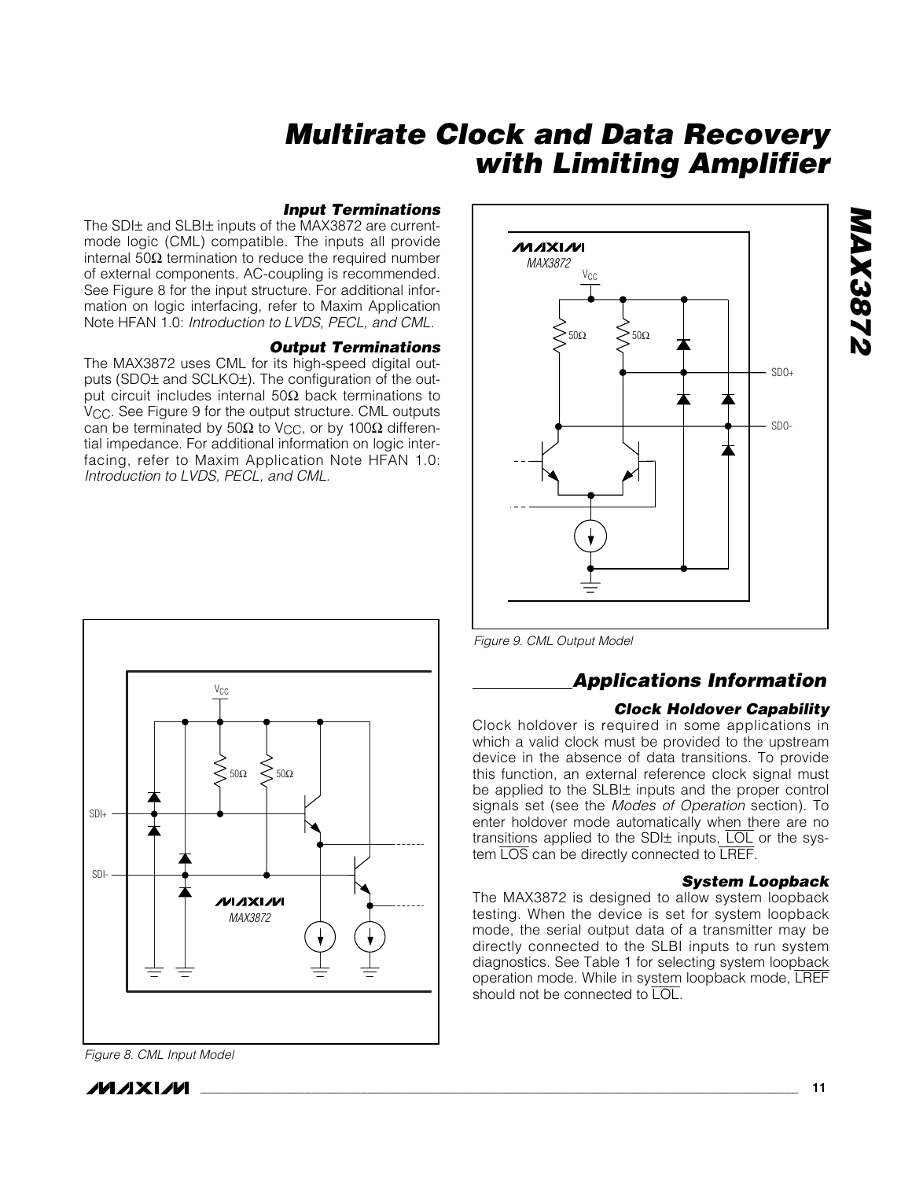#### **Input Terminations**

The SDI± and SLBI± inputs of the MAX3872 are currentmode logic (CML) compatible. The inputs all provide internal 50Ω termination to reduce the required number of external components. AC-coupling is recommended. See Figure 8 for the input structure. For additional information on logic interfacing, refer to Maxim Application Note HFAN 1.0: Introduction to LVDS, PECL, and CML.

#### **Output Terminations**

The MAX3872 uses CML for its high-speed digital outputs (SDO± and SCLKO±). The configuration of the output circuit includes internal 50 $Ω$  back terminations to V<sub>CC</sub>. See Figure 9 for the output structure. CML outputs can be terminated by 50 $\Omega$  to V<sub>CC</sub>, or by 100 $\Omega$  differential impedance. For additional information on logic interfacing, refer to Maxim Application Note HFAN 1.0: Introduction to LVDS, PECL, and CML.



Figure 8. CML Input Model



Figure 9. CML Output Model

## **Applications Information**

#### **Clock Holdover Capability**

Clock holdover is required in some applications in which a valid clock must be provided to the upstream device in the absence of data transitions. To provide this function, an external reference clock signal must be applied to the SLBI± inputs and the proper control signals set (see the Modes of Operation section). To enter holdover mode automatically when there are no transitions applied to the SDI $\pm$  inputs,  $\overline{\text{LOL}}$  or the system LOS can be directly connected to LREF.

#### **System Loopback**

The MAX3872 is designed to allow system loopback testing. When the device is set for system loopback mode, the serial output data of a transmitter may be directly connected to the SLBI inputs to run system diagnostics. See Table 1 for selecting system loopback operation mode. While in system loopback mode, LREF should not be connected to  $\overline{\text{LOL}}$ .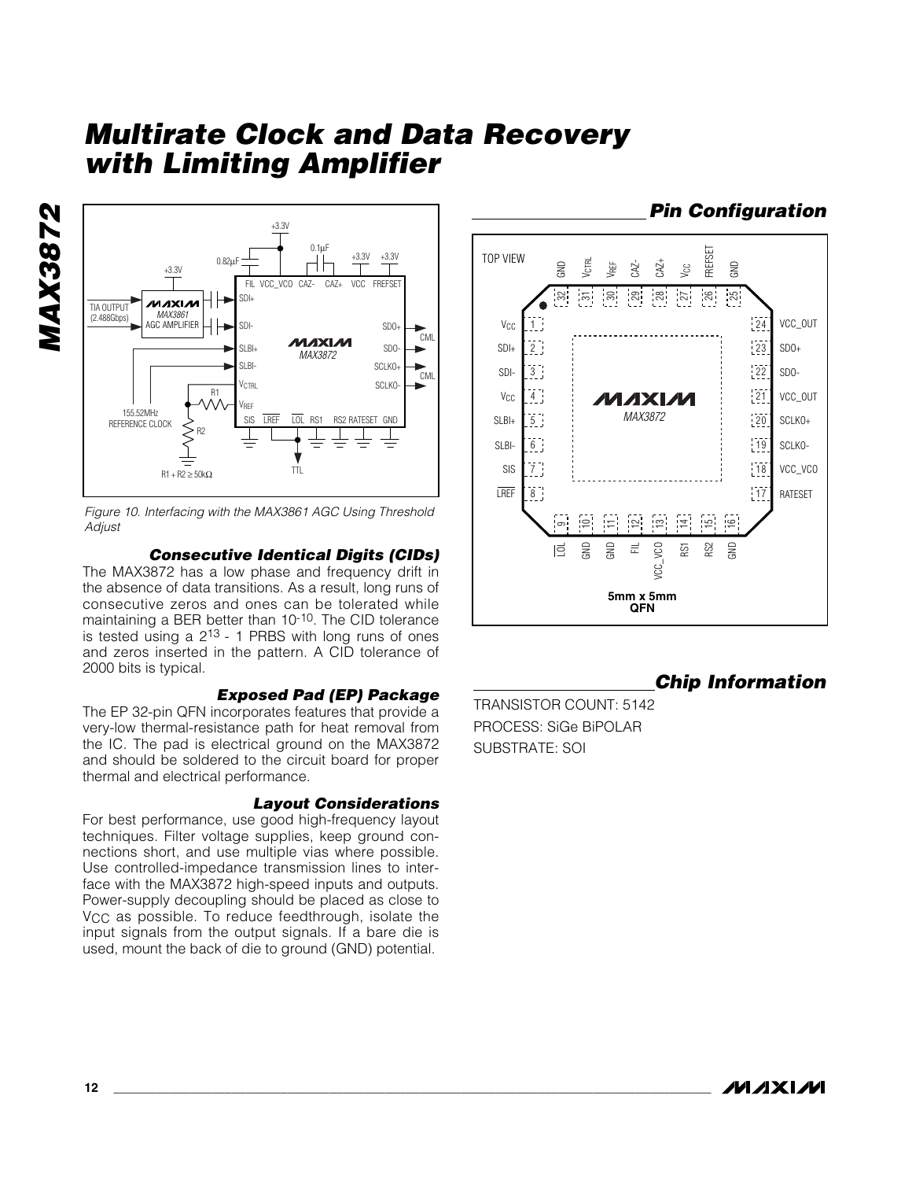



Figure 10. Interfacing with the MAX3861 AGC Using Threshold **Adjust** 

#### **Consecutive Identical Digits (CIDs)**

The MAX3872 has a low phase and frequency drift in the absence of data transitions. As a result, long runs of consecutive zeros and ones can be tolerated while maintaining a BER better than 10-10. The CID tolerance is tested using a  $2^{13}$  - 1 PRBS with long runs of ones and zeros inserted in the pattern. A CID tolerance of 2000 bits is typical.

#### **Exposed Pad (EP) Package**

The EP 32-pin QFN incorporates features that provide a very-low thermal-resistance path for heat removal from the IC. The pad is electrical ground on the MAX3872 and should be soldered to the circuit board for proper thermal and electrical performance.

#### **Layout Considerations**

For best performance, use good high-frequency layout techniques. Filter voltage supplies, keep ground connections short, and use multiple vias where possible. Use controlled-impedance transmission lines to interface with the MAX3872 high-speed inputs and outputs. Power-supply decoupling should be placed as close to V<sub>CC</sub> as possible. To reduce feedthrough, isolate the input signals from the output signals. If a bare die is used, mount the back of die to ground (GND) potential.



## **Chip Information**

TRANSISTOR COUNT: 5142 PROCESS: SiGe BiPOLAR SUBSTRATE: SOI

**MAXIM**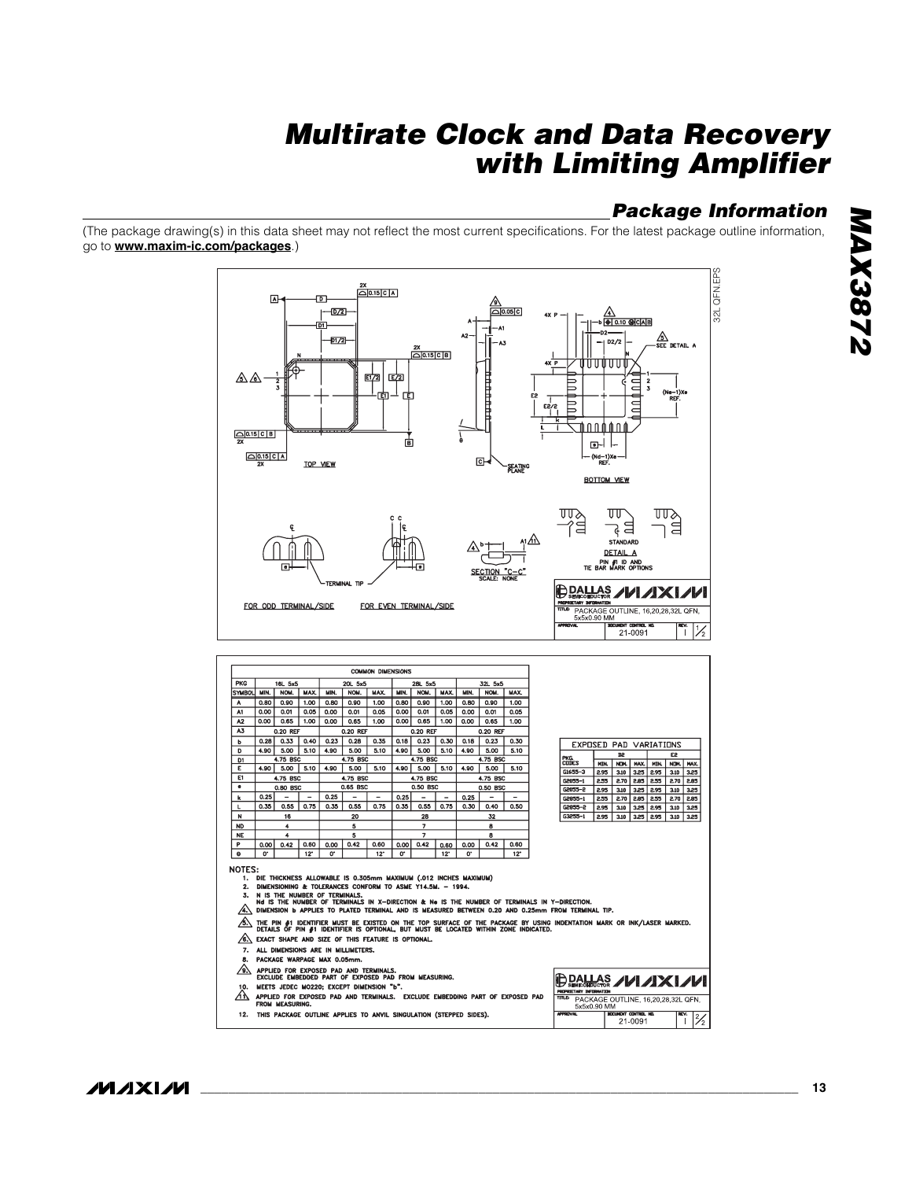## **Package Information**

(The package drawing(s) in this data sheet may not reflect the most current specifications. For the latest package outline information, go to **www.maxim-ic.com/packages**.)



|                         |      |                                                                 |                          |      |                                                                                                                                                                                                                                       | <b>COMMON DIMENSIONS</b> |      |                          |      |      |          |                                                                                      |                                                                                                                                                                                                                                                                                                                             |             |                |                                 |             |                |                               |
|-------------------------|------|-----------------------------------------------------------------|--------------------------|------|---------------------------------------------------------------------------------------------------------------------------------------------------------------------------------------------------------------------------------------|--------------------------|------|--------------------------|------|------|----------|--------------------------------------------------------------------------------------|-----------------------------------------------------------------------------------------------------------------------------------------------------------------------------------------------------------------------------------------------------------------------------------------------------------------------------|-------------|----------------|---------------------------------|-------------|----------------|-------------------------------|
| <b>PKG</b>              |      | 16L 5x5                                                         |                          |      | 20L 5x5                                                                                                                                                                                                                               |                          |      | 28L 5x5                  |      |      | 32L 5x5  |                                                                                      |                                                                                                                                                                                                                                                                                                                             |             |                |                                 |             |                |                               |
| SYMBOL                  | MIN. | NOM.                                                            | MAX.                     | MIN. | NOM.                                                                                                                                                                                                                                  | MAX.                     | MIN. | NOM.                     | MAX. | MIN. | NOM.     | MAX.                                                                                 |                                                                                                                                                                                                                                                                                                                             |             |                |                                 |             |                |                               |
| A                       | 0.80 | 0.90                                                            | 1.00                     | 0.80 | 0.90                                                                                                                                                                                                                                  | 1.00                     | 0.80 | 0.90                     | 1.00 | 0.80 | 0.90     | 1.00                                                                                 |                                                                                                                                                                                                                                                                                                                             |             |                |                                 |             |                |                               |
| A1                      | 0.00 | 0.01                                                            | 0.05                     | 0.00 | 0.01                                                                                                                                                                                                                                  | 0.05                     | 0.00 | 0.01                     | 0.05 | 0.00 | 0.01     | 0.05                                                                                 |                                                                                                                                                                                                                                                                                                                             |             |                |                                 |             |                |                               |
| A <sub>2</sub>          | 0.00 | 0.65                                                            | 1.00                     | 0.00 | 0.65                                                                                                                                                                                                                                  | 1.00                     | 0.00 | 0.65                     | 1.00 | 0.00 | 0.65     | 1.00                                                                                 |                                                                                                                                                                                                                                                                                                                             |             |                |                                 |             |                |                               |
| A3                      |      | 0.20 REF                                                        |                          |      | 0.20 REF                                                                                                                                                                                                                              |                          |      | 0.20 REF                 |      |      | 0.20 REF |                                                                                      |                                                                                                                                                                                                                                                                                                                             |             |                |                                 |             |                |                               |
| ь                       | 0.28 | 0.33                                                            | 0.40                     | 0.23 | 0.28                                                                                                                                                                                                                                  | 0.35                     | 0.18 | 0.23                     | 0.30 | 0.18 | 0.23     | 0.30                                                                                 | EXPOSED PAD VARIATIONS                                                                                                                                                                                                                                                                                                      |             |                |                                 |             |                |                               |
| D                       | 4.90 | 5.00                                                            | 5.10                     | 4.90 | 5.00                                                                                                                                                                                                                                  | 5.10                     | 4.90 | 5.00                     | 5.10 | 4.90 | 5.00     | 5.10                                                                                 |                                                                                                                                                                                                                                                                                                                             |             | D <sub>2</sub> |                                 |             | E <sub>2</sub> |                               |
| D1                      |      | 4.75 BSC                                                        |                          |      | 4.75 BSC                                                                                                                                                                                                                              |                          |      | 4.75 BSC                 |      |      | 4.75 BSC |                                                                                      | PKG.<br>Codes                                                                                                                                                                                                                                                                                                               | MIN.        | NOM.           | MAX.                            | <b>MIN.</b> | NOM.           | <b>NAX</b>                    |
| E                       | 4.90 | 5.00                                                            | 5.10                     | 4.90 | 5.00                                                                                                                                                                                                                                  | 5.10                     | 4.90 | 5.00                     | 5.10 | 4.90 | 5.00     | 5.10                                                                                 | $G1655 - 3$                                                                                                                                                                                                                                                                                                                 | 2.95        | 3.10           | 3.25                            | 2.95        | 3.10           | 3.25                          |
| E1                      |      | 4.75 BSC                                                        |                          |      | 4.75 BSC                                                                                                                                                                                                                              |                          |      | 4.75 BSC                 |      |      | 4.75 BSC |                                                                                      | G2055-1                                                                                                                                                                                                                                                                                                                     | 2.55        | 2.70           | 2.85                            | 2.55        | 2.70           | 2.85                          |
| e                       |      | 0.80 BSC                                                        |                          |      | 0.65 BSC                                                                                                                                                                                                                              |                          |      | 0.50 BSC                 |      |      | 0.50 BSC |                                                                                      | G2055-2                                                                                                                                                                                                                                                                                                                     | 2.95        | 3.10           | 3.25                            | 2.95        | 3.10           | 3.25                          |
| k                       | 0.25 | -                                                               | $\overline{\phantom{0}}$ | 0.25 | $\overline{\phantom{0}}$                                                                                                                                                                                                              | -                        | 0.25 | ۳                        | -    | 0.25 |          | $\overline{\phantom{a}}$                                                             | G2855-1                                                                                                                                                                                                                                                                                                                     | 2.55        | 2.70           | 2.85                            | 2.55        | 2.70           | 2.85                          |
| L                       | 0.35 | 0.55                                                            | 0.75                     | 0.35 | 0.55                                                                                                                                                                                                                                  | 0.75                     | 0.35 | 0.55                     | 0.75 | 0.30 | 0.40     | 0.50                                                                                 | G2855-2                                                                                                                                                                                                                                                                                                                     | 2.95        | 3.10           | 3.25                            | 2.95        | 3.10           | 3.25                          |
| N                       |      | 16                                                              |                          |      | 20                                                                                                                                                                                                                                    |                          |      | 28                       |      |      | 32       |                                                                                      | G3255-1                                                                                                                                                                                                                                                                                                                     | 2.95        | 3.10           | 3.25                            | 2.95        | 3.10           | 3.25                          |
| <b>ND</b>               |      | 4                                                               |                          |      | 5                                                                                                                                                                                                                                     |                          |      | $\overline{\phantom{a}}$ |      |      | 8        |                                                                                      |                                                                                                                                                                                                                                                                                                                             |             |                |                                 |             |                |                               |
| <b>NE</b>               |      | 4                                                               |                          |      | 5                                                                                                                                                                                                                                     |                          |      | $\overline{7}$           |      |      | 8        |                                                                                      |                                                                                                                                                                                                                                                                                                                             |             |                |                                 |             |                |                               |
| P                       | 0.00 | 0.42                                                            | 0.60                     | 0.00 | 0.42                                                                                                                                                                                                                                  | 0.60                     | 0.00 | 0.42                     | 0.60 | 0.00 | 0.42     | 0.60                                                                                 |                                                                                                                                                                                                                                                                                                                             |             |                |                                 |             |                |                               |
| Θ                       | o.   |                                                                 | 12"                      | n.   |                                                                                                                                                                                                                                       | 12"                      | o.   |                          | 12"  | U.   |          | 12"                                                                                  |                                                                                                                                                                                                                                                                                                                             |             |                |                                 |             |                |                               |
| 2.<br>/4.\<br>ΛN.<br>8. |      | 3. N IS THE NUMBER OF TERMINALS.<br>PACKAGE WARPAGE MAX 0.05mm. |                          |      | 1. DIE THICKNESS ALLOWABLE IS 0.305mm MAXIMUM (.012 INCHES MAXIMUM)<br>DIMENSIONING & TOLERANCES CONFORM TO ASME Y14.5M. - 1994.<br>$/6$ . Exact shape and size of this feature is optional.<br>7. ALL DIMENSIONS ARE IN MILLIMETERS. |                          |      |                          |      |      |          | DETAILS OF PIN #1 IDENTIFIER IS OPTIONAL, BUT MUST BE LOCATED WITHIN ZONE INDICATED. | Nd Is the number of terminals in X-direction & Ne Is the number of terminals in Y-direction.<br>DIMENSION b APPLIES TO PLATED TERMINAL AND IS MEASURED BETWEEN 0.20 AND 0.25mm FROM TERMINAL TIP.<br>THE PIN #1 IDENTIFIER MUST BE EXISTED ON THE TOP SURFACE OF THE PACKAGE BY USING INDENTATION MARK OR INK/LASER MARKED. |             |                |                                 |             |                |                               |
|                         |      |                                                                 |                          |      |                                                                                                                                                                                                                                       |                          |      |                          |      |      |          |                                                                                      |                                                                                                                                                                                                                                                                                                                             |             |                |                                 |             |                |                               |
| /9.\<br>10.             |      |                                                                 |                          |      | APPLIED FOR EXPOSED PAD AND TERMINALS.<br>EXCLUDE EMBEDDED PART OF EXPOSED PAD FROM MEASURING.<br>MEETS JEDEC MO220: EXCEPT DIMENSION "b".                                                                                            |                          |      |                          |      |      |          |                                                                                      | PROPRIETARY DIFORMATION                                                                                                                                                                                                                                                                                                     |             |                |                                 |             |                |                               |
| ⁄1 ћ.                   |      | <b>FROM MEASURING.</b>                                          |                          |      |                                                                                                                                                                                                                                       |                          |      |                          |      |      |          | APPLIED FOR EXPOSED PAD AND TERMINALS. EXCLUDE EMBEDDING PART OF EXPOSED PAD         | TITLE<br>PACKAGE OUTLINE, 16,20,28,32L QFN,                                                                                                                                                                                                                                                                                 | 5x5x0.90 MM |                |                                 |             |                |                               |
|                         |      |                                                                 |                          |      | 12. THIS PACKAGE OUTLINE APPLIES TO ANVIL SINGULATION (STEPPED SIDES).                                                                                                                                                                |                          |      |                          |      |      |          |                                                                                      | <b>APPROVAL</b>                                                                                                                                                                                                                                                                                                             |             |                | DOCUMENT CONTROL NO.<br>21-0091 |             | REV.           | $\frac{2}{2}$<br>$\mathbf{I}$ |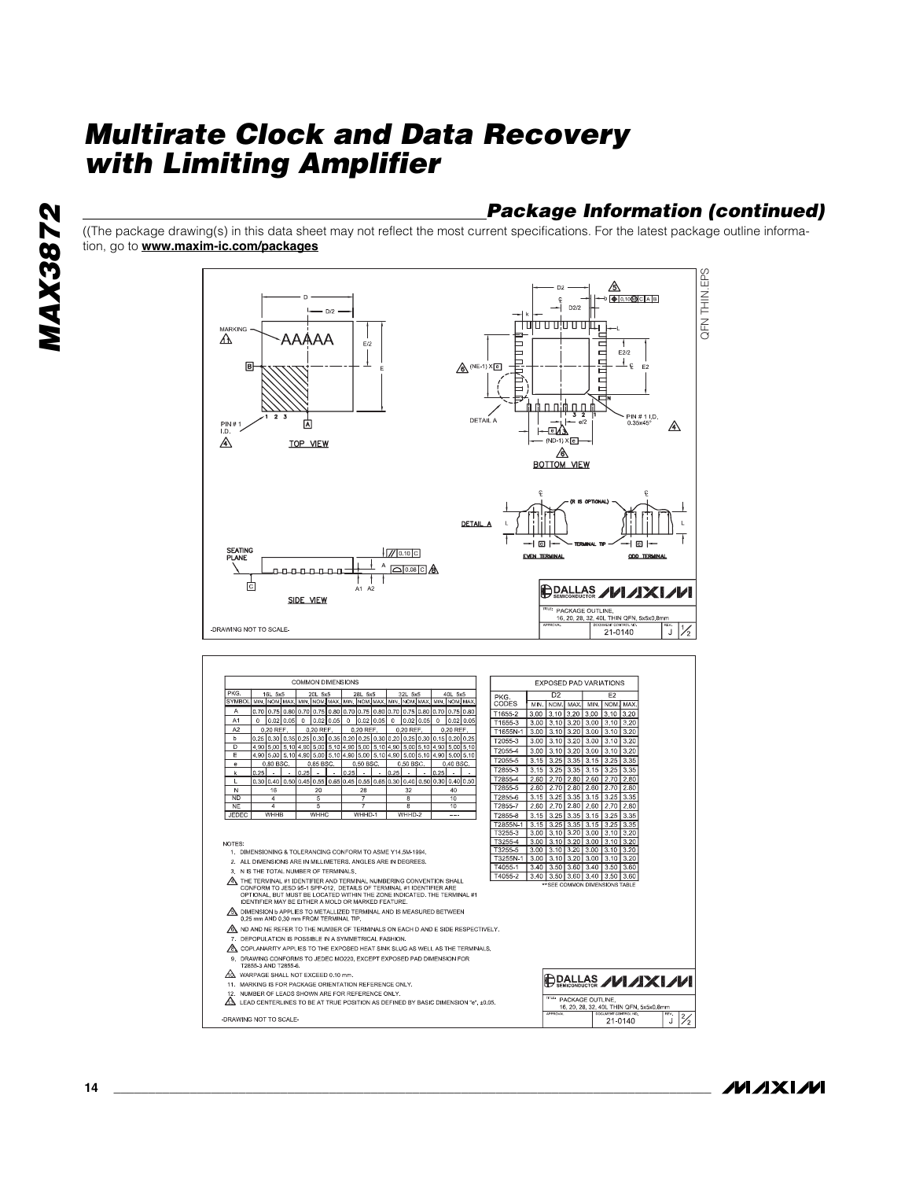# **Package Information (continued)**

((The package drawing(s) in this data sheet may not reflect the most current specifications. For the latest package outline information, go to **www.maxim-ic.com/packages**